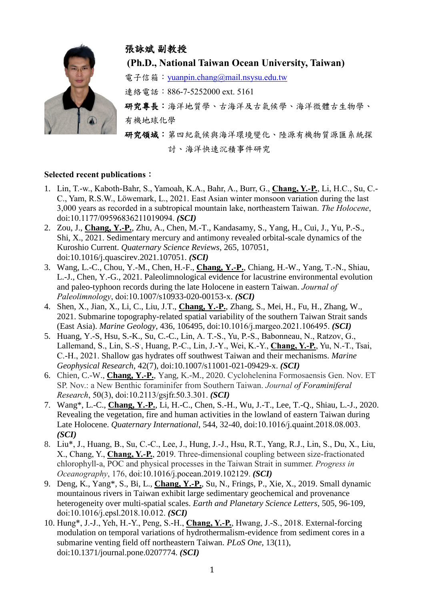

## 張詠斌 副教授

**(Ph.D., National Taiwan Ocean University, Taiwan)**

電子信箱: vuanpin.chang@mail.nsysu.edu.tw

連絡電話:886-7-5252000 ext. 5161

研究專長:海洋地質學、古海洋及古氣候學、海洋微體古生物學、 有機地球化學

研究領域:第四紀氣候與海洋環境變化、陸源有機物質源匯系統探 討、海洋快速沉積事件研究

## **Selected recent publications**:

- 1. Lin, T.-w., Kaboth-Bahr, S., Yamoah, K.A., Bahr, A., Burr, G., **Chang, Y.-P.**, Li, H.C., Su, C.- C., Yam, R.S.W., Löwemark, L., 2021. East Asian winter monsoon variation during the last 3,000 years as recorded in a subtropical mountain lake, northeastern Taiwan. *The Holocene*, doi:10.1177/09596836211019094. *(SCI)*
- 2. Zou, J., **Chang, Y.-P.**, Zhu, A., Chen, M.-T., Kandasamy, S., Yang, H., Cui, J., Yu, P.-S., Shi, X., 2021. Sedimentary mercury and antimony revealed orbital-scale dynamics of the Kuroshio Current. *Quaternary Science Reviews*, 265, 107051, doi:10.1016/j.quascirev.2021.107051. *(SCI)*
- 3. Wang, L.-C., Chou, Y.-M., Chen, H.-F., **Chang, Y.-P.**, Chiang, H.-W., Yang, T.-N., Shiau, L.-J., Chen, Y.-G., 2021. Paleolimnological evidence for lacustrine environmental evolution and paleo-typhoon records during the late Holocene in eastern Taiwan. *Journal of Paleolimnology*, doi:10.1007/s10933-020-00153-x. (*(SCI)*
- 4. Shen, X., Jian, X., Li, C., Liu, J.T., **Chang, Y.-P.**, Zhang, S., Mei, H., Fu, H., Zhang, W., 2021. Submarine topography-related spatial variability of the southern Taiwan Strait sands (East Asia). *Marine Geology*, 436, 106495, doi:10.1016/j.margeo.2021.106495. *(SCI)*
- 5. Huang, Y.-S, Hsu, S.-K., Su, C.-C., Lin, A. T.-S., Yu, P.-S., Babonneau, N., Ratzov, G., Lallemand, S., Lin, S.-S<sup>.</sup>, Huang, P.-C., Lin, J.-Y., Wei, K.-Y., **Chang, Y.-P.**, Yu, N.-T., Tsai, C.-H., 2021. Shallow gas hydrates off southwest Taiwan and their mechanisms. *Marine Geophysical Research*, 42(7), doi:10.1007/s11001-021-09429-x. *(SCI)*
- 6. Chien, C.-W., **Chang, Y.-P.**, Yang, K.-M., 2020. Cyclohelenina Formosaensis Gen. Nov. ET SP. Nov.: a New Benthic foraminifer from Southern Taiwan. *Journal of Foraminiferal Research*, 50(3), doi:10.2113/gsjfr.50.3.301. *(SCI)*
- 7. Wang\*, L.-C., **Chang, Y.-P.**, Li, H.-C., Chen, S.-H., Wu, J.-T., Lee, T.-Q., Shiau, L.-J., 2020. Revealing the vegetation, fire and human activities in the lowland of eastern Taiwan during Late Holocene. *Quaternary International*, 544, 32-40, doi:10.1016/j.quaint.2018.08.003. *(SCI)*
- 8. Liu\*, J., Huang, B., Su, C.-C., Lee, J., Hung, J.-J., Hsu, R.T., Yang, R.J., Lin, S., Du, X., Liu, X., Chang, Y., **Chang, Y.-P.**, 2019. Three-dimensional coupling between size-fractionated chlorophyll-a, POC and physical processes in the Taiwan Strait in summer. *Progress in Oceanography*, 176, doi:10.1016/j.pocean.2019.102129. *(SCI)*
- 9. Deng, K., Yang\*, S., Bi, L., **Chang, Y.-P.**, Su, N., Frings, P., Xie, X., 2019. Small dynamic mountainous rivers in Taiwan exhibit large sedimentary geochemical and provenance heterogeneity over multi-spatial scales. *Earth and Planetary Science Letters*, 505, 96-109, doi:10.1016/j.epsl.2018.10.012. *(SCI)*
- 10. Hung\*, J.-J., Yeh, H.-Y., Peng, S.-H., **Chang, Y.-P.**, Hwang, J.-S., 2018. External-forcing modulation on temporal variations of hydrothermalism-evidence from sediment cores in a submarine venting field off northeastern Taiwan. *PLoS One*, 13(11), doi:10.1371/journal.pone.0207774. *(SCI)*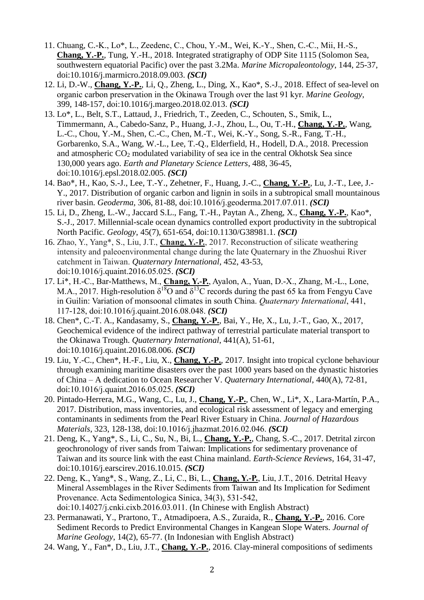- 11. Chuang, C.-K., Lo\*, L., Zeedenc, C., Chou, Y.-M., Wei, K.-Y., Shen, C.-C., Mii, H.-S., **Chang, Y.-P.**, Tung, Y.-H., 2018. Integrated stratigraphy of ODP Site 1115 (Solomon Sea, southwestern equatorial Pacific) over the past 3.2Ma. *Marine Micropaleontology*, 144, 25-37, doi:10.1016/j.marmicro.2018.09.003. *(SCI)*
- 12. Li, D.-W., **Chang, Y.-P.**, Li, Q., Zheng, L., Ding, X., Kao\*, S.-J., 2018. Effect of sea-level on organic carbon preservation in the Okinawa Trough over the last 91 kyr. *Marine Geology*, 399, 148-157, doi:10.1016/j.margeo.2018.02.013. *(SCI)*
- 13. Lo\*, L., Belt, S.T., Lattaud, J., Friedrich, T., Zeeden, C., Schouten, S., Smik, L., Timmermann, A., Cabedo-Sanz, P., Huang, J.-J., Zhou, L., Ou, T.-H., **Chang, Y.-P.**, Wang, L.-C., Chou, Y.-M., Shen, C.-C., Chen, M.-T., Wei, K.-Y., Song, S.-R., Fang, T.-H., Gorbarenko, S.A., Wang, W.-L., Lee, T.-Q., Elderfield, H., Hodell, D.A., 2018. Precession and atmospheric  $CO<sub>2</sub>$  modulated variability of sea ice in the central Okhotsk Sea since 130,000 years ago. *Earth and Planetary Science Letters*, 488, 36-45, doi:10.1016/j.epsl.2018.02.005. *(SCI)*
- 14. Bao\*, H., Kao, S.-J., Lee, T.-Y., Zehetner, F., Huang, J.-C., **Chang, Y.-P.**, Lu, J.-T., Lee, J.- Y., 2017. Distribution of organic carbon and lignin in soils in a subtropical small mountainous river basin. *Geoderma*, 306, 81-88, doi:10.1016/j.geoderma.2017.07.011. *(SCI)*
- 15. Li, D., Zheng, L.-W., Jaccard S.L., Fang, T.-H., Paytan A., Zheng, X., **Chang, Y.-P.**, Kao\*, S.-J., 2017. Millennial-scale ocean dynamics controlled export productivity in the subtropical North Pacific. *Geology*, 45(7), 651-654, doi:10.1130/G38981.1. *(SCI)*
- 16. Zhao, Y., Yang\*, S., Liu, J.T., **Chang, Y.-P.**, 2017. Reconstruction of silicate weathering intensity and paleoenvironmental change during the late Quaternary in the Zhuoshui River catchment in Taiwan. *Quaternary International*, 452, 43-53, doi:10.1016/j.quaint.2016.05.025. *(SCI)*
- 17. Li\*, H.-C., Bar-Matthews, M., **Chang, Y.-P.**, Ayalon, A., Yuan, D.-X., Zhang, M.-L., Lone, M.A., 2017. High-resolution  $\delta^{18}O$  and  $\delta^{13}C$  records during the past 65 ka from Fengyu Cave in Guilin: Variation of monsoonal climates in south China. *Quaternary International*, 441, 117-128, doi:10.1016/j.quaint.2016.08.048. *(SCI)*
- 18. Chen\*, C.-T. A., Kandasamy, S., **Chang, Y.-P.**, Bai, Y., He, X., Lu, J.-T., Gao, X., 2017, Geochemical evidence of the indirect pathway of terrestrial particulate material transport to the Okinawa Trough. *Quaternary International*, 441(A), 51-61, doi:10.1016/j.quaint.2016.08.006. *(SCI)*
- 19. Liu, Y.-C., Chen\*, H.-F., Liu, X., **Chang, Y.-P.**, 2017. Insight into tropical cyclone behaviour through examining maritime disasters over the past 1000 years based on the dynastic histories of China – A dedication to Ocean Researcher V. *Quaternary International*, 440(A), 72-81, doi:10.1016/j.quaint.2016.05.025. *(SCI)*
- 20. Pintado-Herrera, M.G., Wang, C., Lu, J., **Chang, Y.-P.**, Chen, W., Li\*, X., Lara-Martín, P.A., 2017. Distribution, mass inventories, and ecological risk assessment of legacy and emerging contaminants in sediments from the Pearl River Estuary in China. *Journal of Hazardous Materials*, 323, 128-138, doi:10.1016/j.jhazmat.2016.02.046. *(SCI)*
- 21. Deng, K., Yang\*, S., Li, C., Su, N., Bi, L., **Chang, Y.-P.**, Chang, S.-C., 2017. Detrital zircon geochronology of river sands from Taiwan: Implications for sedimentary provenance of Taiwan and its source link with the east China mainland. *Earth-Science Reviews*, 164, 31-47, doi:10.1016/j.earscirev.2016.10.015. *(SCI)*
- 22. Deng, K., Yang\*, S., Wang, Z., Li, C., Bi, L., **Chang, Y.-P.**, Liu, J.T., 2016. Detrital Heavy Mineral Assemblages in the River Sediments from Taiwan and Its Implication for Sediment Provenance. Acta Sedimentologica Sinica, 34(3), 531-542, doi:10.14027/j.cnki.cixb.2016.03.011. (In Chinese with English Abstract)
- 23. Permanawati, Y., Prartono, T., Atmadipoera, A.S., Zuraida, R., **Chang, Y.-P.**, 2016. Core Sediment Records to Predict Environmental Changes in Kangean Slope Waters. *Journal of Marine Geology*, 14(2), 65-77. (In Indonesian with English Abstract)
- 24. Wang, Y., Fan\*, D., Liu, J.T., **Chang, Y.-P.**, 2016. Clay-mineral compositions of sediments